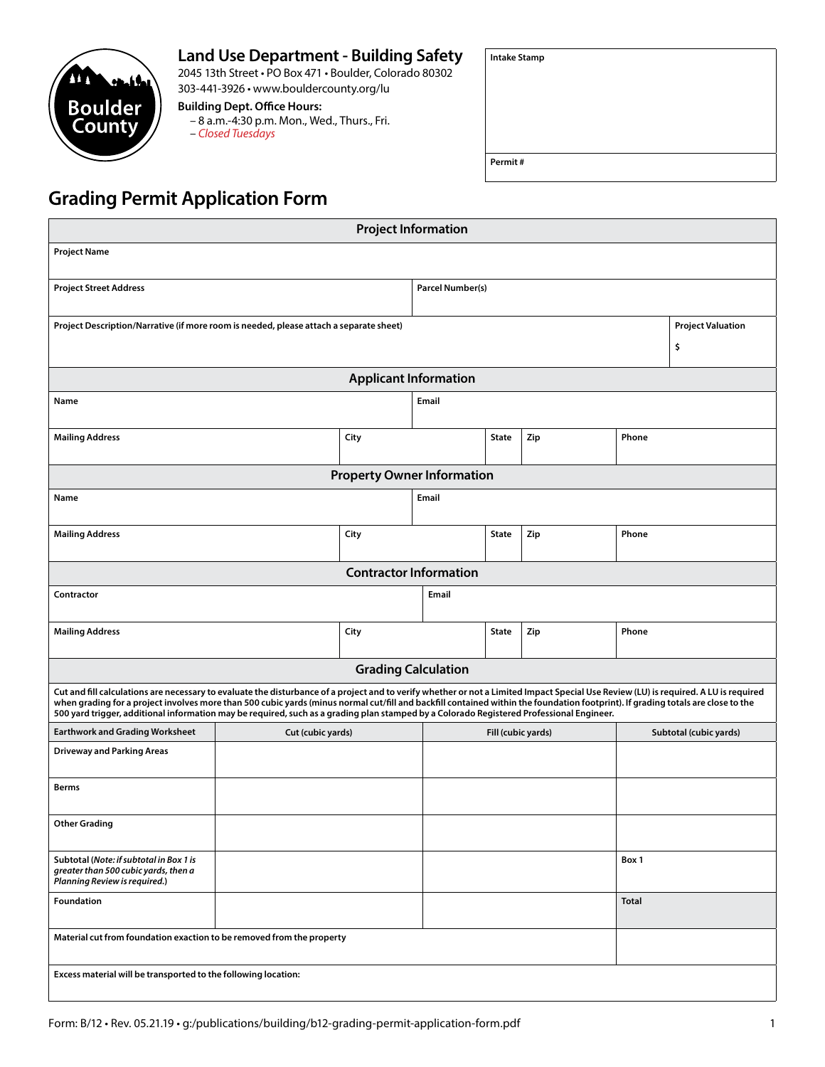## **Land Use Department - Building Safety**

2045 13th Street • PO Box 471 • Boulder, Colorado 80302 303-441-3926 • www.bouldercounty.org/lu **Building Dept. Office Hours:**

– 8 a.m.-4:30 p.m. Mon., Wed., Thurs., Fri. – *Closed Tuesdays*

| <b>Intake Stamp</b> |  |  |
|---------------------|--|--|
|                     |  |  |
|                     |  |  |
|                     |  |  |
|                     |  |  |

## **Grading Permit Application Form**

**M** 

**Boulder** County

| <b>Project Information</b>                                                                                                                                                                                                                                                                                                                                                                                                                                                                                           |                   |                               |                    |              |     |                        |                          |  |
|----------------------------------------------------------------------------------------------------------------------------------------------------------------------------------------------------------------------------------------------------------------------------------------------------------------------------------------------------------------------------------------------------------------------------------------------------------------------------------------------------------------------|-------------------|-------------------------------|--------------------|--------------|-----|------------------------|--------------------------|--|
| <b>Project Name</b>                                                                                                                                                                                                                                                                                                                                                                                                                                                                                                  |                   |                               |                    |              |     |                        |                          |  |
| <b>Project Street Address</b>                                                                                                                                                                                                                                                                                                                                                                                                                                                                                        | Parcel Number(s)  |                               |                    |              |     |                        |                          |  |
| Project Description/Narrative (if more room is needed, please attach a separate sheet)                                                                                                                                                                                                                                                                                                                                                                                                                               |                   |                               |                    |              |     |                        | <b>Project Valuation</b> |  |
|                                                                                                                                                                                                                                                                                                                                                                                                                                                                                                                      |                   |                               |                    |              |     |                        | \$                       |  |
| <b>Applicant Information</b>                                                                                                                                                                                                                                                                                                                                                                                                                                                                                         |                   |                               |                    |              |     |                        |                          |  |
| Name                                                                                                                                                                                                                                                                                                                                                                                                                                                                                                                 |                   |                               | Email              |              |     |                        |                          |  |
| <b>Mailing Address</b>                                                                                                                                                                                                                                                                                                                                                                                                                                                                                               |                   | City                          |                    | <b>State</b> | Zip | Phone                  |                          |  |
| <b>Property Owner Information</b>                                                                                                                                                                                                                                                                                                                                                                                                                                                                                    |                   |                               |                    |              |     |                        |                          |  |
| Name                                                                                                                                                                                                                                                                                                                                                                                                                                                                                                                 |                   |                               | Email              |              |     |                        |                          |  |
| <b>Mailing Address</b>                                                                                                                                                                                                                                                                                                                                                                                                                                                                                               |                   | City                          |                    | <b>State</b> | Zip | Phone                  |                          |  |
|                                                                                                                                                                                                                                                                                                                                                                                                                                                                                                                      |                   | <b>Contractor Information</b> |                    |              |     |                        |                          |  |
| Contractor                                                                                                                                                                                                                                                                                                                                                                                                                                                                                                           | Email             |                               |                    |              |     |                        |                          |  |
| <b>Mailing Address</b>                                                                                                                                                                                                                                                                                                                                                                                                                                                                                               |                   | City                          |                    | <b>State</b> | Zip | Phone                  |                          |  |
| <b>Grading Calculation</b>                                                                                                                                                                                                                                                                                                                                                                                                                                                                                           |                   |                               |                    |              |     |                        |                          |  |
| Cut and fill calculations are necessary to evaluate the disturbance of a project and to verify whether or not a Limited Impact Special Use Review (LU) is required. A LU is required<br>when grading for a project involves more than 500 cubic yards (minus normal cut/fill and backfill contained within the foundation footprint). If grading totals are close to the<br>500 yard trigger, additional information may be required, such as a grading plan stamped by a Colorado Registered Professional Engineer. |                   |                               |                    |              |     |                        |                          |  |
| <b>Earthwork and Grading Worksheet</b>                                                                                                                                                                                                                                                                                                                                                                                                                                                                               | Cut (cubic yards) |                               | Fill (cubic yards) |              |     | Subtotal (cubic yards) |                          |  |
| <b>Driveway and Parking Areas</b>                                                                                                                                                                                                                                                                                                                                                                                                                                                                                    |                   |                               |                    |              |     |                        |                          |  |
| <b>Berms</b>                                                                                                                                                                                                                                                                                                                                                                                                                                                                                                         |                   |                               |                    |              |     |                        |                          |  |
| <b>Other Grading</b>                                                                                                                                                                                                                                                                                                                                                                                                                                                                                                 |                   |                               |                    |              |     |                        |                          |  |
| Subtotal (Note: if subtotal in Box 1 is<br>greater than 500 cubic yards, then a<br>Planning Review is required.)                                                                                                                                                                                                                                                                                                                                                                                                     |                   |                               |                    |              |     | Box 1                  |                          |  |
| Foundation                                                                                                                                                                                                                                                                                                                                                                                                                                                                                                           |                   |                               |                    |              |     | Total                  |                          |  |
| Material cut from foundation exaction to be removed from the property                                                                                                                                                                                                                                                                                                                                                                                                                                                |                   |                               |                    |              |     |                        |                          |  |
| Excess material will be transported to the following location:                                                                                                                                                                                                                                                                                                                                                                                                                                                       |                   |                               |                    |              |     |                        |                          |  |